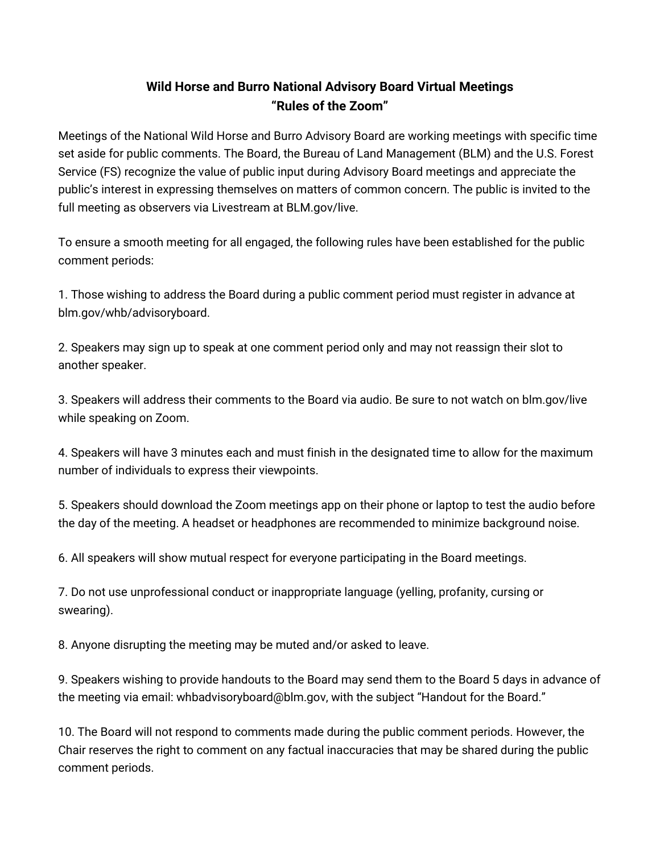## **Wild Horse and Burro National Advisory Board Virtual Meetings "Rules of the Zoom"**

Meetings of the National Wild Horse and Burro Advisory Board are working meetings with specific time set aside for public comments. The Board, the Bureau of Land Management (BLM) and the U.S. Forest Service (FS) recognize the value of public input during Advisory Board meetings and appreciate the public's interest in expressing themselves on matters of common concern. The public is invited to the full meeting as observers via Livestream at BLM.gov/live.

To ensure a smooth meeting for all engaged, the following rules have been established for the public comment periods:

1. Those wishing to address the Board during a public comment period must register in advance at blm.gov/whb/advisoryboard.

2. Speakers may sign up to speak at one comment period only and may not reassign their slot to another speaker.

3. Speakers will address their comments to the Board via audio. Be sure to not watch on blm.gov/live while speaking on Zoom.

4. Speakers will have 3 minutes each and must finish in the designated time to allow for the maximum number of individuals to express their viewpoints.

5. Speakers should download the Zoom meetings app on their phone or laptop to test the audio before the day of the meeting. A headset or headphones are recommended to minimize background noise.

6. All speakers will show mutual respect for everyone participating in the Board meetings.

7. Do not use unprofessional conduct or inappropriate language (yelling, profanity, cursing or swearing).

8. Anyone disrupting the meeting may be muted and/or asked to leave.

9. Speakers wishing to provide handouts to the Board may send them to the Board 5 days in advance of the meeting via email: whbadvisoryboard@blm.gov, with the subject "Handout for the Board."

10. The Board will not respond to comments made during the public comment periods. However, the Chair reserves the right to comment on any factual inaccuracies that may be shared during the public comment periods.